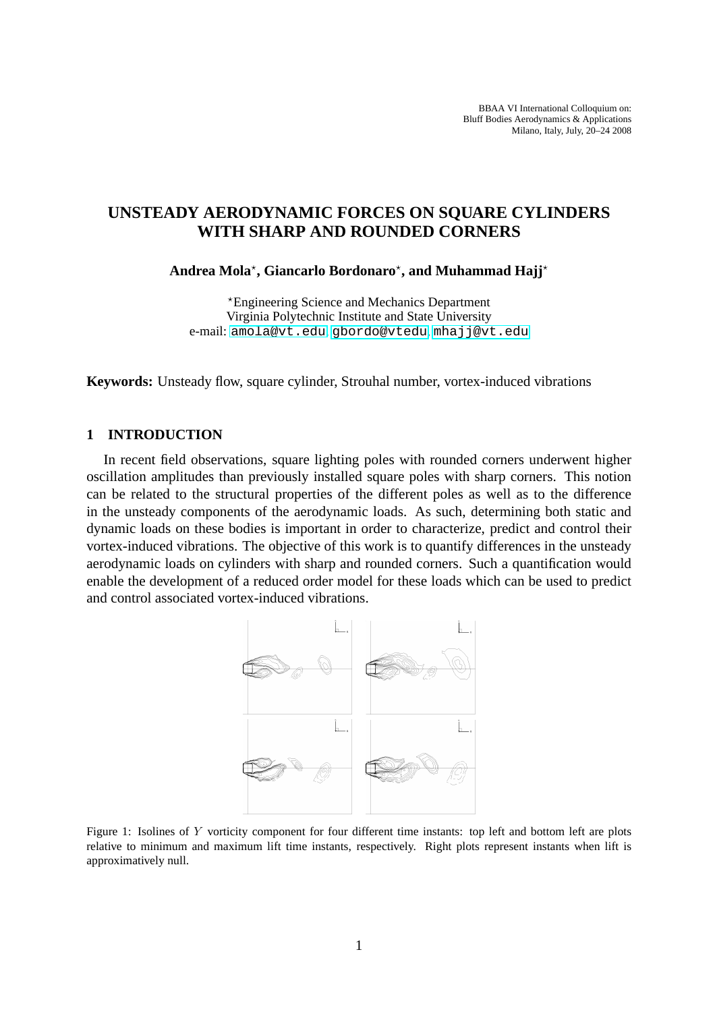# <span id="page-0-0"></span>**UNSTEADY AERODYNAMIC FORCES ON SQUARE CYLINDERS WITH SHARP AND ROUNDED CORNERS**

## **Andrea Mola**? **, Giancarlo Bordonaro**? **, and Muhammad Hajj**?

?Engineering Science and Mechanics Department Virginia Polytechnic Institute and State University e-mail: amola@vt.edu, gbordo@vtedu, mhajj@vt.edu

**Keywords:** Unsteady fl[ow, square cylinde](amola@vt.edu)[r, Strouhal numbe](gbordo@vtedu)[r, vortex-induced](mhajj@vt.edu) vibrations

#### **1 INTRODUCTION**

In recent field observations, square lighting poles with rounded corners underwent higher oscillation amplitudes than previously installed square poles with sharp corners. This notion can be related to the structural properties of the different poles as well as to the difference in the unsteady components of the aerodynamic loads. As such, determining both static and dynamic loads on these bodies is important in order to characterize, predict and control their vortex-induced vibrations. The objective of this work is to quantify differences in the unsteady aerodynamic loads on cylinders with sharp and rounded corners. Such a quantification would enable the development of a reduced order model for these loads which can be used to predict and control associated vortex-induced vibrations.



Figure 1: Isolines of Y vorticity component for four different time instants: top left and bottom left are plots relative to minimum and maximum lift time instants, respectively. Right plots represent instants when lift is approximatively null.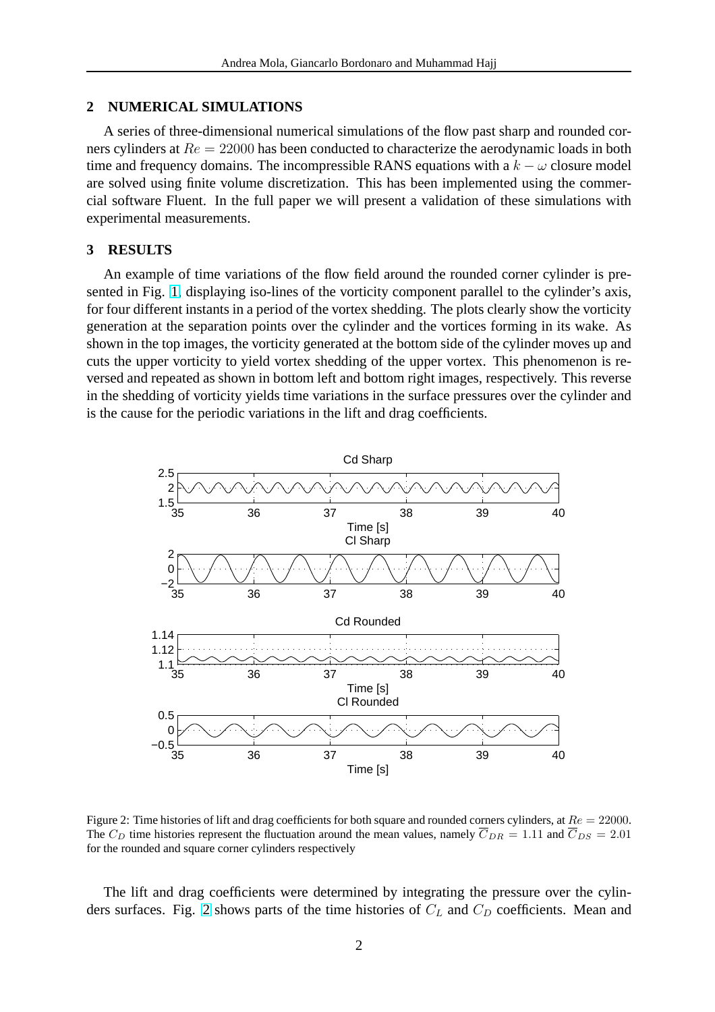### **2 NUMERICAL SIMULATIONS**

A series of three-dimensional numerical simulations of the flow past sharp and rounded corners cylinders at  $Re = 22000$  has been conducted to characterize the aerodynamic loads in both time and frequency domains. The incompressible RANS equations with a  $k - \omega$  closure model are solved using finite volume discretization. This has been implemented using the commercial software Fluent. In the full paper we will present a validation of these simulations with experimental measurements.

#### **3 RESULTS**

An example of time variations of the flow field around the rounded corner cylinder is presented in Fig. 1, displaying iso-lines of the vorticity component parallel to the cylinder's axis, for four different instants in a period of the vortex shedding. The plots clearly show the vorticity generation at the separation points over the cylinder and the vortices forming in its wake. As shown in the t[op](#page-0-0) images, the vorticity generated at the bottom side of the cylinder moves up and cuts the upper vorticity to yield vortex shedding of the upper vortex. This phenomenon is reversed and repeated as shown in bottom left and bottom right images, respectively. This reverse in the shedding of vorticity yields time variations in the surface pressures over the cylinder and is the cause for the periodic variations in the lift and drag coefficients.



Figure 2: Time histories of lift and drag coefficients for both square and rounded corners cylinders, at  $Re = 22000$ . The  $C_D$  time histories represent the fluctuation around the mean values, namely  $\overline{C}_{DR} = 1.11$  and  $\overline{C}_{DS} = 2.01$ for the rounded and square corner cylinders respectively

The lift and drag coefficients were determined by integrating the pressure over the cylinders surfaces. Fig. 2 shows parts of the time histories of  $C<sub>L</sub>$  and  $C<sub>D</sub>$  coefficients. Mean and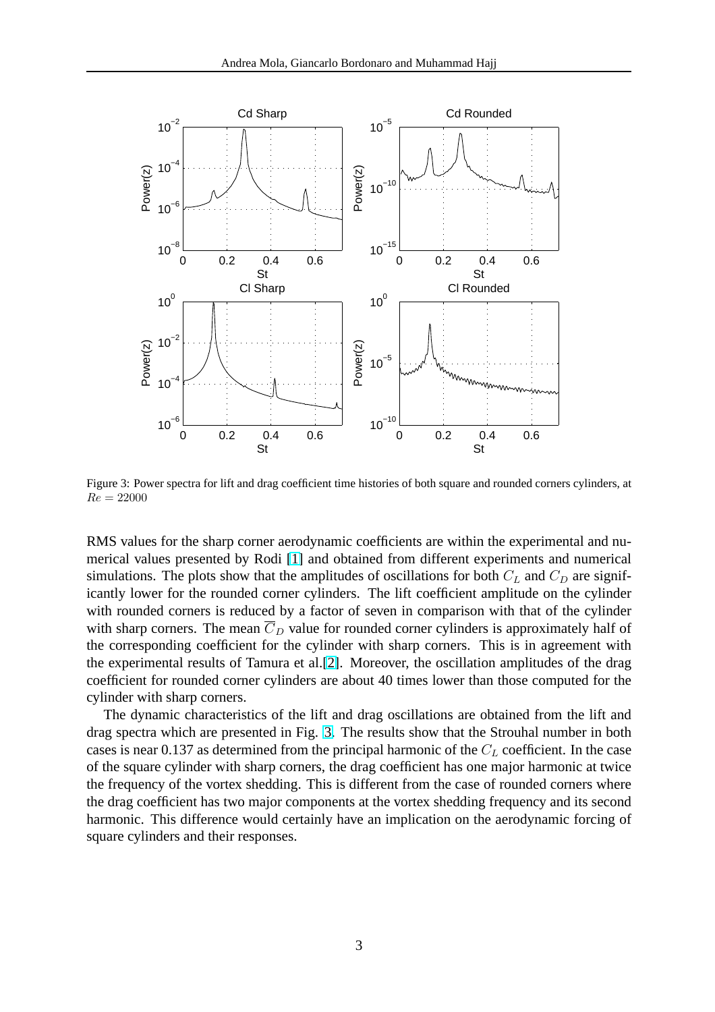

Figure 3: Power spectra for lift and drag coefficient time histories of both square and rounded corners cylinders, at  $Re = 22000$ 

RMS values for the sharp corner aerodynamic coefficients are within the experimental and numerical values presented by Rodi [1] and obtained from different experiments and numerical simulations. The plots show that the amplitudes of oscillations for both  $C<sub>L</sub>$  and  $C<sub>D</sub>$  are significantly lower for the rounded corner cylinders. The lift coefficient amplitude on the cylinder with rounded corners is reduced b[y a](#page-3-0) factor of seven in comparison with that of the cylinder with sharp corners. The mean  $\overline{C}_D$  value for rounded corner cylinders is approximately half of the corresponding coefficient for the cylinder with sharp corners. This is in agreement with the experimental results of Tamura et al.[2]. Moreover, the oscillation amplitudes of the drag coefficient for rounded corner cylinders are about 40 times lower than those computed for the cylinder with sharp corners.

The dynamic characteristics of the lif[t a](#page-3-0)nd drag oscillations are obtained from the lift and drag spectra which are presented in Fig. 3. The results show that the Strouhal number in both cases is near 0.137 as determined from the principal harmonic of the  $C<sub>L</sub>$  coefficient. In the case of the square cylinder with sharp corners, the drag coefficient has one major harmonic at twice the frequency of the vortex shedding. This is different from the case of rounded corners where the drag coefficient has two major components at the vortex shedding frequency and its second harmonic. This difference would certainly have an implication on the aerodynamic forcing of square cylinders and their responses.